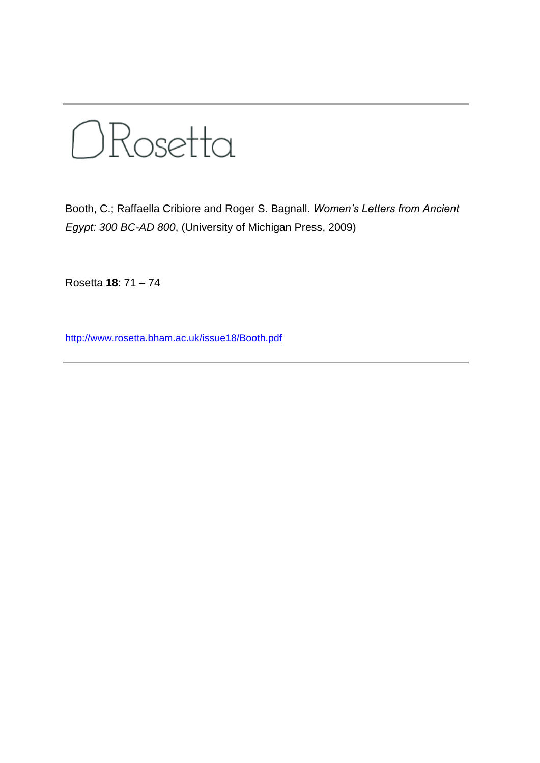

Booth, C.; Raffaella Cribiore and Roger S. Bagnall. *Women's Letters from Ancient Egypt: 300 BC-AD 800*, (University of Michigan Press, 2009)

Rosetta **18**: 71 – 74

<http://www.rosetta.bham.ac.uk/issue18/Booth.pdf>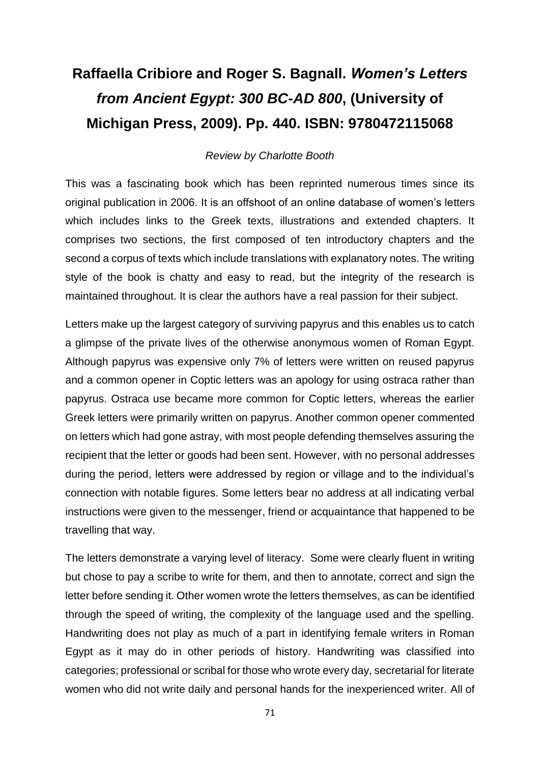## **Raffaella Cribiore and Roger S. Bagnall.** *Women's Letters from Ancient Egypt: 300 BC-AD 800***, (University of Michigan Press, 2009). Pp. 440. ISBN: 9780472115068**

## *Review by Charlotte Booth*

This was a fascinating book which has been reprinted numerous times since its original publication in 2006. It is an offshoot of an online database of women's letters which includes links to the Greek texts, illustrations and extended chapters. It comprises two sections, the first composed of ten introductory chapters and the second a corpus of texts which include translations with explanatory notes. The writing style of the book is chatty and easy to read, but the integrity of the research is maintained throughout. It is clear the authors have a real passion for their subject.

Letters make up the largest category of surviving papyrus and this enables us to catch a glimpse of the private lives of the otherwise anonymous women of Roman Egypt. Although papyrus was expensive only 7% of letters were written on reused papyrus and a common opener in Coptic letters was an apology for using ostraca rather than papyrus. Ostraca use became more common for Coptic letters, whereas the earlier Greek letters were primarily written on papyrus. Another common opener commented on letters which had gone astray, with most people defending themselves assuring the recipient that the letter or goods had been sent. However, with no personal addresses during the period, letters were addressed by region or village and to the individual's connection with notable figures. Some letters bear no address at all indicating verbal instructions were given to the messenger, friend or acquaintance that happened to be travelling that way.

The letters demonstrate a varying level of literacy. Some were clearly fluent in writing but chose to pay a scribe to write for them, and then to annotate, correct and sign the letter before sending it. Other women wrote the letters themselves, as can be identified through the speed of writing, the complexity of the language used and the spelling. Handwriting does not play as much of a part in identifying female writers in Roman Egypt as it may do in other periods of history. Handwriting was classified into categories; professional or scribal for those who wrote every day, secretarial for literate women who did not write daily and personal hands for the inexperienced writer. All of

71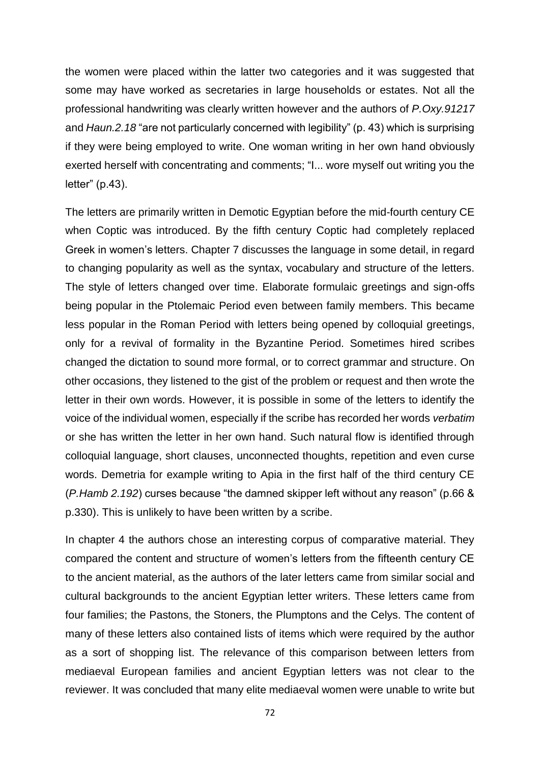the women were placed within the latter two categories and it was suggested that some may have worked as secretaries in large households or estates. Not all the professional handwriting was clearly written however and the authors of *P.Oxy.91217* and *Haun.2.18* "are not particularly concerned with legibility" (p. 43) which is surprising if they were being employed to write. One woman writing in her own hand obviously exerted herself with concentrating and comments; "I... wore myself out writing you the letter" (p.43).

The letters are primarily written in Demotic Egyptian before the mid-fourth century CE when Coptic was introduced. By the fifth century Coptic had completely replaced Greek in women's letters. Chapter 7 discusses the language in some detail, in regard to changing popularity as well as the syntax, vocabulary and structure of the letters. The style of letters changed over time. Elaborate formulaic greetings and sign-offs being popular in the Ptolemaic Period even between family members. This became less popular in the Roman Period with letters being opened by colloquial greetings, only for a revival of formality in the Byzantine Period. Sometimes hired scribes changed the dictation to sound more formal, or to correct grammar and structure. On other occasions, they listened to the gist of the problem or request and then wrote the letter in their own words. However, it is possible in some of the letters to identify the voice of the individual women, especially if the scribe has recorded her words *verbatim* or she has written the letter in her own hand. Such natural flow is identified through colloquial language, short clauses, unconnected thoughts, repetition and even curse words. Demetria for example writing to Apia in the first half of the third century CE (*P.Hamb 2.192*) curses because "the damned skipper left without any reason" (p.66 & p.330). This is unlikely to have been written by a scribe.

In chapter 4 the authors chose an interesting corpus of comparative material. They compared the content and structure of women's letters from the fifteenth century CE to the ancient material, as the authors of the later letters came from similar social and cultural backgrounds to the ancient Egyptian letter writers. These letters came from four families; the Pastons, the Stoners, the Plumptons and the Celys. The content of many of these letters also contained lists of items which were required by the author as a sort of shopping list. The relevance of this comparison between letters from mediaeval European families and ancient Egyptian letters was not clear to the reviewer. It was concluded that many elite mediaeval women were unable to write but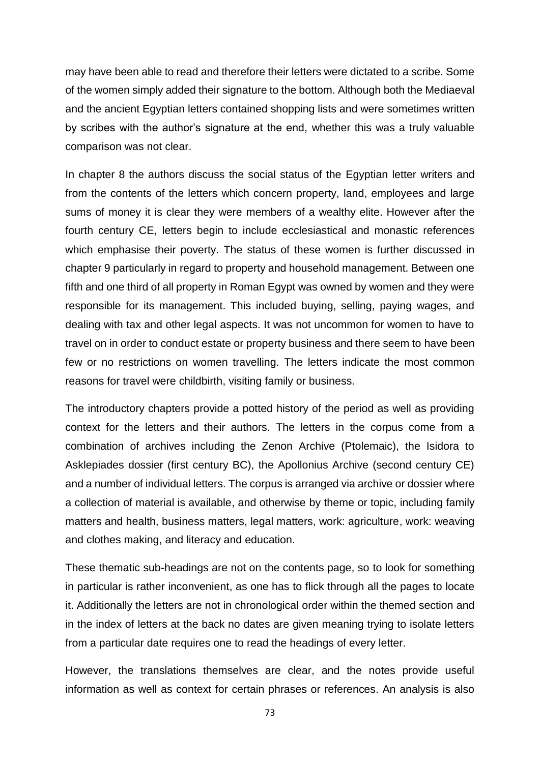may have been able to read and therefore their letters were dictated to a scribe. Some of the women simply added their signature to the bottom. Although both the Mediaeval and the ancient Egyptian letters contained shopping lists and were sometimes written by scribes with the author's signature at the end, whether this was a truly valuable comparison was not clear.

In chapter 8 the authors discuss the social status of the Egyptian letter writers and from the contents of the letters which concern property, land, employees and large sums of money it is clear they were members of a wealthy elite. However after the fourth century CE, letters begin to include ecclesiastical and monastic references which emphasise their poverty. The status of these women is further discussed in chapter 9 particularly in regard to property and household management. Between one fifth and one third of all property in Roman Egypt was owned by women and they were responsible for its management. This included buying, selling, paying wages, and dealing with tax and other legal aspects. It was not uncommon for women to have to travel on in order to conduct estate or property business and there seem to have been few or no restrictions on women travelling. The letters indicate the most common reasons for travel were childbirth, visiting family or business.

The introductory chapters provide a potted history of the period as well as providing context for the letters and their authors. The letters in the corpus come from a combination of archives including the Zenon Archive (Ptolemaic), the Isidora to Asklepiades dossier (first century BC), the Apollonius Archive (second century CE) and a number of individual letters. The corpus is arranged via archive or dossier where a collection of material is available, and otherwise by theme or topic, including family matters and health, business matters, legal matters, work: agriculture, work: weaving and clothes making, and literacy and education.

These thematic sub-headings are not on the contents page, so to look for something in particular is rather inconvenient, as one has to flick through all the pages to locate it. Additionally the letters are not in chronological order within the themed section and in the index of letters at the back no dates are given meaning trying to isolate letters from a particular date requires one to read the headings of every letter.

However, the translations themselves are clear, and the notes provide useful information as well as context for certain phrases or references. An analysis is also